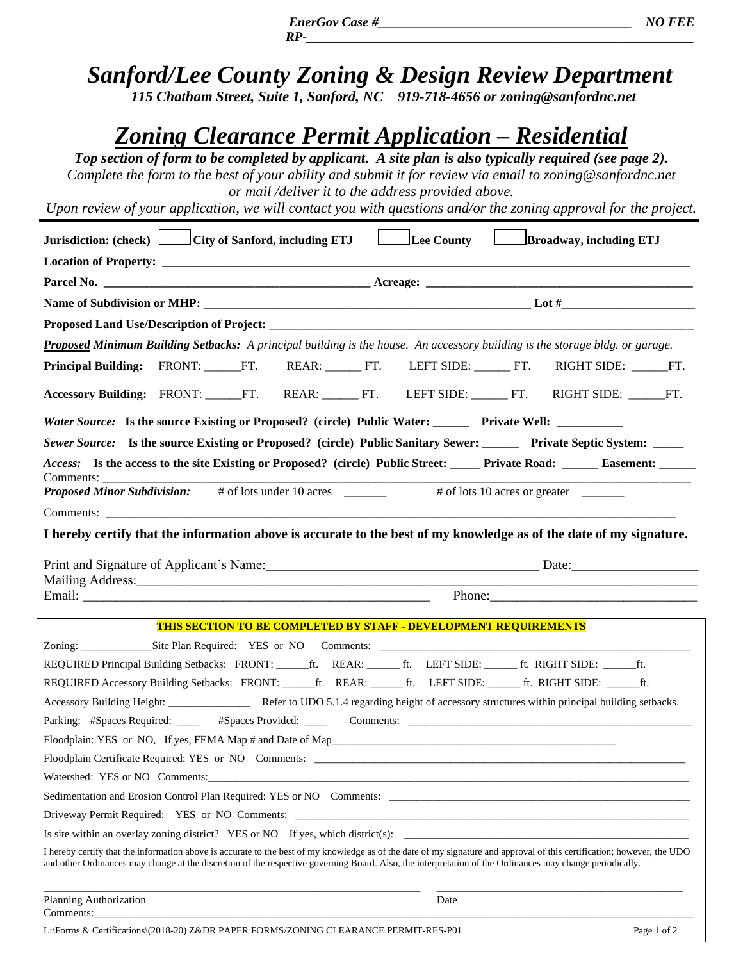*Sanford/Lee County Zoning & Design R[eview Departm](mailto:zoning@sanfordnc.net)ent 115 Chatham Street, Suite 1, Sanford, NC 919-718-4656 or zoning@sanfordnc.net*

 *RP-\_\_\_\_\_\_\_\_\_\_\_\_\_\_\_\_\_\_\_\_\_\_\_\_\_\_\_\_\_\_\_\_\_\_\_\_\_\_\_\_\_\_\_\_\_\_\_\_\_\_\_\_\_\_\_\_\_\_*

## *Zoning Clearance Permit Application – Residential*

*Top section of form to be completed by applicant. A site plan is also typically required (see page 2). Complete the form to the best of your ability and submit it for review via email to [zoning@sanfordnc.net](mailto:zoning@sanfordnc.net) or mail /deliver it to the address provided above.*

*Upon review of your application, we will contact you with questions and/or the zoning approval for the project.*

| Jurisdiction: (check) City of Sanford, including ETJ                                                                                                                                                                               |  |  |  |  | Lee County                                                              |  | Broadway, including ETJ |             |
|------------------------------------------------------------------------------------------------------------------------------------------------------------------------------------------------------------------------------------|--|--|--|--|-------------------------------------------------------------------------|--|-------------------------|-------------|
|                                                                                                                                                                                                                                    |  |  |  |  |                                                                         |  |                         |             |
|                                                                                                                                                                                                                                    |  |  |  |  |                                                                         |  |                         |             |
|                                                                                                                                                                                                                                    |  |  |  |  |                                                                         |  |                         |             |
|                                                                                                                                                                                                                                    |  |  |  |  |                                                                         |  |                         |             |
| Proposed Minimum Building Setbacks: A principal building is the house. An accessory building is the storage bldg. or garage.                                                                                                       |  |  |  |  |                                                                         |  |                         |             |
| Principal Building: FRONT: FT. REAR: FT. LEFT SIDE: FT. RIGHT SIDE: FT.                                                                                                                                                            |  |  |  |  |                                                                         |  |                         |             |
|                                                                                                                                                                                                                                    |  |  |  |  |                                                                         |  |                         |             |
| Accessory Building: FRONT: FT. REAR: FT. LEFT SIDE: FT. RIGHT SIDE: FT.                                                                                                                                                            |  |  |  |  |                                                                         |  |                         |             |
| <i>Water Source:</i> Is the source Existing or Proposed? (circle) Public Water: ________ Private Well: ___________                                                                                                                 |  |  |  |  |                                                                         |  |                         |             |
| Sewer Source: Is the source Existing or Proposed? (circle) Public Sanitary Sewer: ______ Private Septic System: ____                                                                                                               |  |  |  |  |                                                                         |  |                         |             |
| Access: Is the access to the site Existing or Proposed? (circle) Public Street: _____ Private Road: _____ Easement: ______                                                                                                         |  |  |  |  |                                                                         |  |                         |             |
| Comments:                                                                                                                                                                                                                          |  |  |  |  |                                                                         |  |                         |             |
| <b>Proposed Minor Subdivision:</b> # of lots under 10 acres ______                                                                                                                                                                 |  |  |  |  |                                                                         |  |                         |             |
|                                                                                                                                                                                                                                    |  |  |  |  |                                                                         |  |                         |             |
| I hereby certify that the information above is accurate to the best of my knowledge as of the date of my signature.                                                                                                                |  |  |  |  |                                                                         |  |                         |             |
| Print and Signature of Applicant's Name: 1988. [1] Date: Date: Date:                                                                                                                                                               |  |  |  |  |                                                                         |  |                         |             |
|                                                                                                                                                                                                                                    |  |  |  |  |                                                                         |  |                         |             |
|                                                                                                                                                                                                                                    |  |  |  |  |                                                                         |  |                         |             |
|                                                                                                                                                                                                                                    |  |  |  |  |                                                                         |  |                         |             |
|                                                                                                                                                                                                                                    |  |  |  |  | <b>THIS SECTION TO BE COMPLETED BY STAFF - DEVELOPMENT REQUIREMENTS</b> |  |                         |             |
|                                                                                                                                                                                                                                    |  |  |  |  |                                                                         |  |                         |             |
| REQUIRED Principal Building Setbacks: FRONT: _____ft. REAR: _____ft. LEFT SIDE: _____ft. RIGHT SIDE: _____ft.<br>REQUIRED Accessory Building Setbacks: FRONT: ______ft. REAR: ______ft. LEFT SIDE: ______ft. RIGHT SIDE: ______ft. |  |  |  |  |                                                                         |  |                         |             |
| Accessory Building Height: _________________ Refer to UDO 5.1.4 regarding height of accessory structures within principal building setbacks.                                                                                       |  |  |  |  |                                                                         |  |                         |             |
| Parking: #Spaces Required: ______ #Spaces Provided: _____ Comments: ________________________________                                                                                                                               |  |  |  |  |                                                                         |  |                         |             |
| Floodplain: YES or NO, If yes, FEMA Map # and Date of Map                                                                                                                                                                          |  |  |  |  |                                                                         |  |                         |             |
|                                                                                                                                                                                                                                    |  |  |  |  |                                                                         |  |                         |             |
|                                                                                                                                                                                                                                    |  |  |  |  |                                                                         |  |                         |             |
|                                                                                                                                                                                                                                    |  |  |  |  |                                                                         |  |                         |             |
|                                                                                                                                                                                                                                    |  |  |  |  |                                                                         |  |                         |             |
| Is site within an overlay zoning district? YES or NO If yes, which district(s):                                                                                                                                                    |  |  |  |  |                                                                         |  |                         |             |
| I hereby certify that the information above is accurate to the best of my knowledge as of the date of my signature and approval of this certification; however, the UDO                                                            |  |  |  |  |                                                                         |  |                         |             |
| and other Ordinances may change at the discretion of the respective governing Board. Also, the interpretation of the Ordinances may change periodically.                                                                           |  |  |  |  |                                                                         |  |                         |             |
| Planning Authorization                                                                                                                                                                                                             |  |  |  |  | Date                                                                    |  |                         |             |
| Comments: example of the contract of the contract of the contract of the contract of the contract of the contract of the contract of the contract of the contract of the contract of the contract of the contract of the contr     |  |  |  |  |                                                                         |  |                         |             |
| L:\Forms & Certifications\(2018-20) Z&DR PAPER FORMS/ZONING CLEARANCE PERMIT-RES-P01                                                                                                                                               |  |  |  |  |                                                                         |  |                         | Page 1 of 2 |